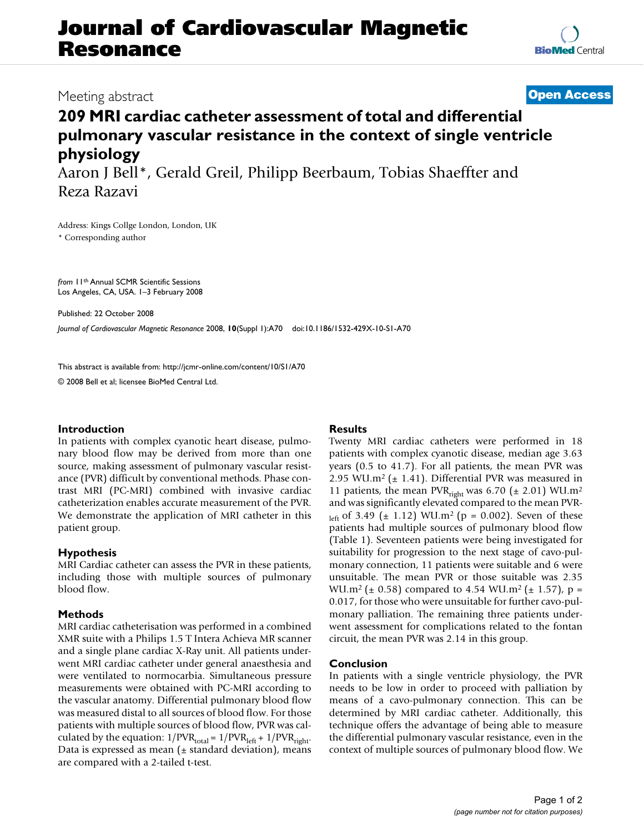# **Journal of Cardiovascular Magnetic Resonance**

### Meeting abstract **[Open Access](http://www.biomedcentral.com/info/about/charter/)**

## **209 MRI cardiac catheter assessment of total and differential pulmonary vascular resistance in the context of single ventricle physiology**

Aaron J Bell\*, Gerald Greil, Philipp Beerbaum, Tobias Shaeffter and Reza Razavi

Address: Kings Collge London, London, UK \* Corresponding author

*from* 11th Annual SCMR Scientific Sessions Los Angeles, CA, USA. 1–3 February 2008

Published: 22 October 2008

*Journal of Cardiovascular Magnetic Resonance* 2008, **10**(Suppl 1):A70 doi:10.1186/1532-429X-10-S1-A70

[This abstract is available from: http://jcmr-online.com/content/10/S1/A70](http://jcmr-online.com/content/10/S1/A70)

© 2008 Bell et al; licensee BioMed Central Ltd.

#### **Introduction**

In patients with complex cyanotic heart disease, pulmonary blood flow may be derived from more than one source, making assessment of pulmonary vascular resistance (PVR) difficult by conventional methods. Phase contrast MRI (PC-MRI) combined with invasive cardiac catheterization enables accurate measurement of the PVR. We demonstrate the application of MRI catheter in this patient group.

#### **Hypothesis**

MRI Cardiac catheter can assess the PVR in these patients, including those with multiple sources of pulmonary blood flow.

#### **Methods**

MRI cardiac catheterisation was performed in a combined XMR suite with a Philips 1.5 T Intera Achieva MR scanner and a single plane cardiac X-Ray unit. All patients underwent MRI cardiac catheter under general anaesthesia and were ventilated to normocarbia. Simultaneous pressure measurements were obtained with PC-MRI according to the vascular anatomy. Differential pulmonary blood flow was measured distal to all sources of blood flow. For those patients with multiple sources of blood flow, PVR was calculated by the equation:  $1/PVR_{total} = 1/PVR_{left} + 1/PVR_{right}$ . Data is expressed as mean  $(±$  standard deviation), means are compared with a 2-tailed t-test.

#### **Results**

Twenty MRI cardiac catheters were performed in 18 patients with complex cyanotic disease, median age 3.63 years (0.5 to 41.7). For all patients, the mean PVR was 2.95 WU.m<sup>2</sup> ( $\pm$  1.41). Differential PVR was measured in 11 patients, the mean PVR<sub>right</sub> was 6.70 ( $\pm$  2.01) WU.m<sup>2</sup> and was significantly elevated compared to the mean PVRleft of 3.49 ( $\pm$  1.12) WU.m<sup>2</sup> ( $p = 0.002$ ). Seven of these patients had multiple sources of pulmonary blood flow (Table 1). Seventeen patients were being investigated for suitability for progression to the next stage of cavo-pulmonary connection, 11 patients were suitable and 6 were unsuitable. The mean PVR or those suitable was 2.35 WU.m<sup>2</sup> ( $\pm$  0.58) compared to 4.54 WU.m<sup>2</sup> ( $\pm$  1.57), p = 0.017, for those who were unsuitable for further cavo-pulmonary palliation. The remaining three patients underwent assessment for complications related to the fontan circuit, the mean PVR was 2.14 in this group.

#### **Conclusion**

In patients with a single ventricle physiology, the PVR needs to be low in order to proceed with palliation by means of a cavo-pulmonary connection. This can be determined by MRI cardiac catheter. Additionally, this technique offers the advantage of being able to measure the differential pulmonary vascular resistance, even in the context of multiple sources of pulmonary blood flow. We